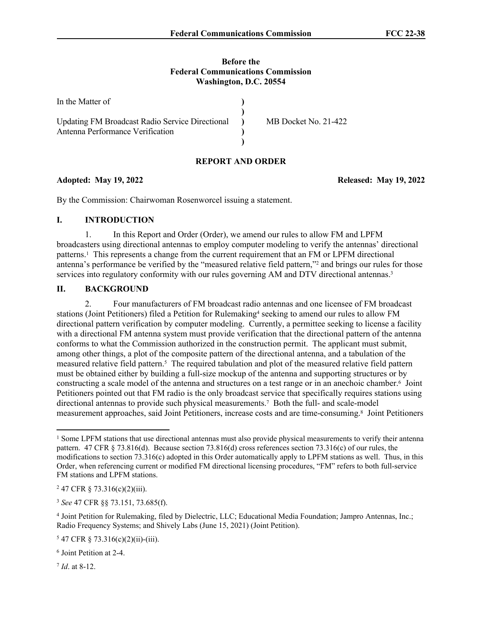#### **Before the Federal Communications Commission Washington, D.C. 20554**

| In the Matter of                                                                        |                      |
|-----------------------------------------------------------------------------------------|----------------------|
| Updating FM Broadcast Radio Service Directional (1)<br>Antenna Performance Verification | MB Docket No. 21-422 |
|                                                                                         |                      |

## **REPORT AND ORDER**

## **Adopted: May 19, 2022 Released: May 19, 2022**

By the Commission: Chairwoman Rosenworcel issuing a statement.

#### **I. INTRODUCTION**

1. In this Report and Order (Order), we amend our rules to allow FM and LPFM broadcasters using directional antennas to employ computer modeling to verify the antennas' directional patterns.<sup>1</sup> This represents a change from the current requirement that an FM or LPFM directional antenna's performance be verified by the "measured relative field pattern,"<sup>2</sup> and brings our rules for those services into regulatory conformity with our rules governing AM and DTV directional antennas.<sup>3</sup>

### **II. BACKGROUND**

2. Four manufacturers of FM broadcast radio antennas and one licensee of FM broadcast stations (Joint Petitioners) filed a Petition for Rulemaking<sup>4</sup> seeking to amend our rules to allow FM directional pattern verification by computer modeling. Currently, a permittee seeking to license a facility with a directional FM antenna system must provide verification that the directional pattern of the antenna conforms to what the Commission authorized in the construction permit. The applicant must submit, among other things, a plot of the composite pattern of the directional antenna, and a tabulation of the measured relative field pattern.<sup>5</sup> The required tabulation and plot of the measured relative field pattern must be obtained either by building a full-size mockup of the antenna and supporting structures or by constructing a scale model of the antenna and structures on a test range or in an anechoic chamber.<sup>6</sup> Joint Petitioners pointed out that FM radio is the only broadcast service that specifically requires stations using directional antennas to provide such physical measurements.<sup>7</sup> Both the full- and scale-model measurement approaches, said Joint Petitioners, increase costs and are time-consuming.<sup>8</sup> Joint Petitioners

7 *Id*. at 8-12.

<sup>&</sup>lt;sup>1</sup> Some LPFM stations that use directional antennas must also provide physical measurements to verify their antenna pattern. 47 CFR § 73.816(d). Because section 73.816(d) cross references section 73.316(c) of our rules, the modifications to section 73.316(c) adopted in this Order automatically apply to LPFM stations as well. Thus, in this Order, when referencing current or modified FM directional licensing procedures, "FM" refers to both full-service FM stations and LPFM stations.

<sup>2</sup> 47 CFR § 73.316(c)(2)(iii).

<sup>3</sup> *See* 47 CFR §§ 73.151, 73.685(f).

<sup>4</sup> Joint Petition for Rulemaking, filed by Dielectric, LLC; Educational Media Foundation; Jampro Antennas, Inc.; Radio Frequency Systems; and Shively Labs (June 15, 2021) (Joint Petition).

 $547$  CFR § 73.316(c)(2)(ii)-(iii).

<sup>6</sup> Joint Petition at 2-4.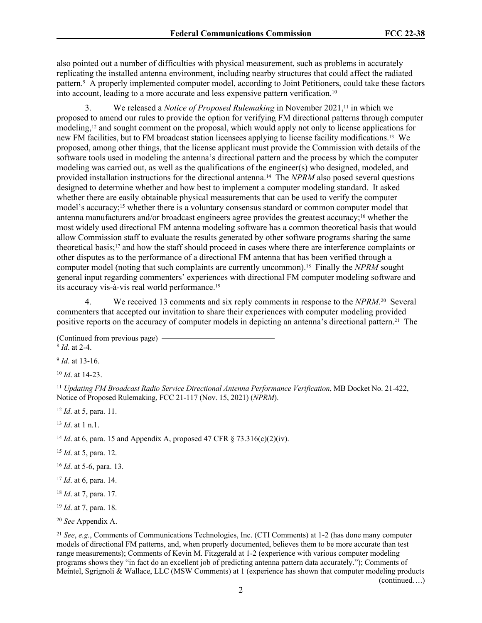also pointed out a number of difficulties with physical measurement, such as problems in accurately replicating the installed antenna environment, including nearby structures that could affect the radiated pattern.<sup>9</sup> A properly implemented computer model, according to Joint Petitioners, could take these factors into account, leading to a more accurate and less expensive pattern verification.<sup>10</sup>

3. We released a *Notice of Proposed Rulemaking* in November 2021,11 in which we proposed to amend our rules to provide the option for verifying FM directional patterns through computer modeling,12 and sought comment on the proposal, which would apply not only to license applications for new FM facilities, but to FM broadcast station licensees applying to license facility modifications.13 We proposed, among other things, that the license applicant must provide the Commission with details of the software tools used in modeling the antenna's directional pattern and the process by which the computer modeling was carried out, as well as the qualifications of the engineer(s) who designed, modeled, and provided installation instructions for the directional antenna.14 The *NPRM* also posed several questions designed to determine whether and how best to implement a computer modeling standard. It asked whether there are easily obtainable physical measurements that can be used to verify the computer model's accuracy;<sup>15</sup> whether there is a voluntary consensus standard or common computer model that antenna manufacturers and/or broadcast engineers agree provides the greatest accuracy;16 whether the most widely used directional FM antenna modeling software has a common theoretical basis that would allow Commission staff to evaluate the results generated by other software programs sharing the same theoretical basis;17 and how the staff should proceed in cases where there are interference complaints or other disputes as to the performance of a directional FM antenna that has been verified through a computer model (noting that such complaints are currently uncommon).18 Finally the *NPRM* sought general input regarding commenters' experiences with directional FM computer modeling software and its accuracy vis-à-vis real world performance.<sup>19</sup>

4. We received 13 comments and six reply comments in response to the *NPRM*. <sup>20</sup> Several commenters that accepted our invitation to share their experiences with computer modeling provided positive reports on the accuracy of computer models in depicting an antenna's directional pattern.21 The

(Continued from previous page) 8 *Id*. at 2-4.

9 *Id*. at 13-16.

<sup>10</sup> *Id*. at 14-23.

<sup>11</sup> *Updating FM Broadcast Radio Service Directional Antenna Performance Verification*, MB Docket No. 21-422, Notice of Proposed Rulemaking, FCC 21-117 (Nov. 15, 2021) (*NPRM*).

<sup>12</sup> *Id*. at 5, para. 11.

<sup>13</sup> *Id*. at 1 n.1.

<sup>14</sup> *Id.* at 6, para. 15 and Appendix A, proposed 47 CFR  $\frac{\delta}{2}$  73.316(c)(2)(iv).

<sup>15</sup> *Id*. at 5, para. 12.

<sup>16</sup> *Id*. at 5-6, para. 13.

<sup>17</sup> *Id*. at 6, para. 14.

<sup>18</sup> *Id*. at 7, para. 17.

<sup>19</sup> *Id*. at 7, para. 18.

<sup>20</sup> *See* Appendix A.

<sup>21</sup> *See*, *e.g.*, Comments of Communications Technologies, Inc. (CTI Comments) at 1-2 (has done many computer models of directional FM patterns, and, when properly documented, believes them to be more accurate than test range measurements); Comments of Kevin M. Fitzgerald at 1-2 (experience with various computer modeling programs shows they "in fact do an excellent job of predicting antenna pattern data accurately."); Comments of Meintel, Sgrignoli & Wallace, LLC (MSW Comments) at 1 (experience has shown that computer modeling products (continued….)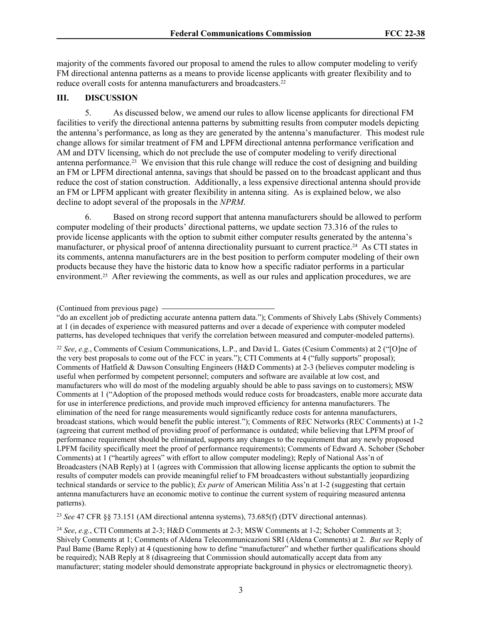majority of the comments favored our proposal to amend the rules to allow computer modeling to verify FM directional antenna patterns as a means to provide license applicants with greater flexibility and to reduce overall costs for antenna manufacturers and broadcasters.<sup>22</sup>

## **III. DISCUSSION**

5. As discussed below, we amend our rules to allow license applicants for directional FM facilities to verify the directional antenna patterns by submitting results from computer models depicting the antenna's performance, as long as they are generated by the antenna's manufacturer. This modest rule change allows for similar treatment of FM and LPFM directional antenna performance verification and AM and DTV licensing, which do not preclude the use of computer modeling to verify directional antenna performance.23 We envision that this rule change will reduce the cost of designing and building an FM or LPFM directional antenna, savings that should be passed on to the broadcast applicant and thus reduce the cost of station construction. Additionally, a less expensive directional antenna should provide an FM or LPFM applicant with greater flexibility in antenna siting. As is explained below, we also decline to adopt several of the proposals in the *NPRM*.

6. Based on strong record support that antenna manufacturers should be allowed to perform computer modeling of their products' directional patterns, we update section 73.316 of the rules to provide license applicants with the option to submit either computer results generated by the antenna's manufacturer, or physical proof of antenna directionality pursuant to current practice.<sup>24</sup> As CTI states in its comments, antenna manufacturers are in the best position to perform computer modeling of their own products because they have the historic data to know how a specific radiator performs in a particular environment.<sup>25</sup> After reviewing the comments, as well as our rules and application procedures, we are

<sup>22</sup> *See*, *e.g.*, Comments of Cesium Communications, L.P., and David L. Gates (Cesium Comments) at 2 ("[O]ne of the very best proposals to come out of the FCC in years."); CTI Comments at 4 ("fully supports" proposal); Comments of Hatfield & Dawson Consulting Engineers (H&D Comments) at 2-3 (believes computer modeling is useful when performed by competent personnel; computers and software are available at low cost, and manufacturers who will do most of the modeling arguably should be able to pass savings on to customers); MSW Comments at 1 ("Adoption of the proposed methods would reduce costs for broadcasters, enable more accurate data for use in interference predictions, and provide much improved efficiency for antenna manufacturers. The elimination of the need for range measurements would significantly reduce costs for antenna manufacturers, broadcast stations, which would benefit the public interest."); Comments of REC Networks (REC Comments) at 1-2 (agreeing that current method of providing proof of performance is outdated; while believing that LPFM proof of performance requirement should be eliminated, supports any changes to the requirement that any newly proposed LPFM facility specifically meet the proof of performance requirements); Comments of Edward A. Schober (Schober Comments) at 1 ("heartily agrees" with effort to allow computer modeling); Reply of National Ass'n of Broadcasters (NAB Reply) at 1 (agrees with Commission that allowing license applicants the option to submit the results of computer models can provide meaningful relief to FM broadcasters without substantially jeopardizing technical standards or service to the public); *Ex parte* of American Militia Ass'n at 1-2 (suggesting that certain antenna manufacturers have an economic motive to continue the current system of requiring measured antenna patterns).

<sup>23</sup> *See* 47 CFR §§ 73.151 (AM directional antenna systems), 73.685(f) (DTV directional antennas).

<sup>24</sup> *See*, *e.g.*, CTI Comments at 2-3; H&D Comments at 2-3; MSW Comments at 1-2; Schober Comments at 3; Shively Comments at 1; Comments of Aldena Telecommunicazioni SRI (Aldena Comments) at 2. *But see* Reply of Paul Bame (Bame Reply) at 4 (questioning how to define "manufacturer" and whether further qualifications should be required); NAB Reply at 8 (disagreeing that Commission should automatically accept data from any manufacturer; stating modeler should demonstrate appropriate background in physics or electromagnetic theory).

<sup>(</sup>Continued from previous page)

<sup>&</sup>quot;do an excellent job of predicting accurate antenna pattern data."); Comments of Shively Labs (Shively Comments) at 1 (in decades of experience with measured patterns and over a decade of experience with computer modeled patterns, has developed techniques that verify the correlation between measured and computer-modeled patterns).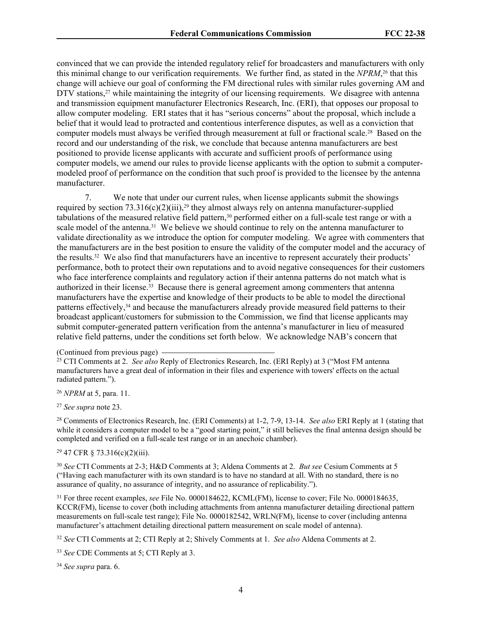convinced that we can provide the intended regulatory relief for broadcasters and manufacturers with only this minimal change to our verification requirements. We further find, as stated in the *NPRM*, <sup>26</sup> that this change will achieve our goal of conforming the FM directional rules with similar rules governing AM and DTV stations,<sup>27</sup> while maintaining the integrity of our licensing requirements. We disagree with antenna and transmission equipment manufacturer Electronics Research, Inc. (ERI), that opposes our proposal to allow computer modeling. ERI states that it has "serious concerns" about the proposal, which include a belief that it would lead to protracted and contentious interference disputes, as well as a conviction that computer models must always be verified through measurement at full or fractional scale.28 Based on the record and our understanding of the risk, we conclude that because antenna manufacturers are best positioned to provide license applicants with accurate and sufficient proofs of performance using computer models, we amend our rules to provide license applicants with the option to submit a computermodeled proof of performance on the condition that such proof is provided to the licensee by the antenna manufacturer.

7. We note that under our current rules, when license applicants submit the showings required by section  $73.316(c)(2)(iii)$ ,<sup>29</sup> they almost always rely on antenna manufacturer-supplied tabulations of the measured relative field pattern,<sup>30</sup> performed either on a full-scale test range or with a scale model of the antenna.<sup>31</sup> We believe we should continue to rely on the antenna manufacturer to validate directionality as we introduce the option for computer modeling. We agree with commenters that the manufacturers are in the best position to ensure the validity of the computer model and the accuracy of the results.32 We also find that manufacturers have an incentive to represent accurately their products' performance, both to protect their own reputations and to avoid negative consequences for their customers who face interference complaints and regulatory action if their antenna patterns do not match what is authorized in their license.33 Because there is general agreement among commenters that antenna manufacturers have the expertise and knowledge of their products to be able to model the directional patterns effectively,34 and because the manufacturers already provide measured field patterns to their broadcast applicant/customers for submission to the Commission, we find that license applicants may submit computer-generated pattern verification from the antenna's manufacturer in lieu of measured relative field patterns, under the conditions set forth below. We acknowledge NAB's concern that

<sup>26</sup> *NPRM* at 5, para. 11.

<sup>27</sup> *See supra* note 23.

<sup>28</sup> Comments of Electronics Research, Inc. (ERI Comments) at 1-2, 7-9, 13-14. *See also* ERI Reply at 1 (stating that while it considers a computer model to be a "good starting point," it still believes the final antenna design should be completed and verified on a full-scale test range or in an anechoic chamber).

<sup>29</sup> 47 CFR § 73.316(c)(2)(iii).

<sup>30</sup> *See* CTI Comments at 2-3; H&D Comments at 3; Aldena Comments at 2. *But see* Cesium Comments at 5 ("Having each manufacturer with its own standard is to have no standard at all. With no standard, there is no assurance of quality, no assurance of integrity, and no assurance of replicability.").

<sup>31</sup> For three recent examples, *see* File No. 0000184622, KCML(FM), license to cover; File No. 0000184635, KCCR(FM), license to cover (both including attachments from antenna manufacturer detailing directional pattern measurements on full-scale test range); File No. 0000182542, WRLN(FM), license to cover (including antenna manufacturer's attachment detailing directional pattern measurement on scale model of antenna).

<sup>32</sup> *See* CTI Comments at 2; CTI Reply at 2; Shively Comments at 1. *See also* Aldena Comments at 2.

<sup>33</sup> *See* CDE Comments at 5; CTI Reply at 3.

<sup>34</sup> *See supra* para. 6.

<sup>(</sup>Continued from previous page)

<sup>25</sup> CTI Comments at 2. *See also* Reply of Electronics Research, Inc. (ERI Reply) at 3 ("Most FM antenna manufacturers have a great deal of information in their files and experience with towers' effects on the actual radiated pattern.").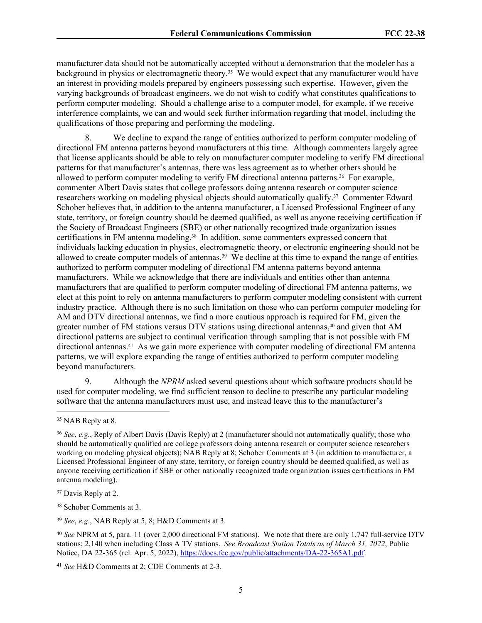manufacturer data should not be automatically accepted without a demonstration that the modeler has a background in physics or electromagnetic theory.35 We would expect that any manufacturer would have an interest in providing models prepared by engineers possessing such expertise. However, given the varying backgrounds of broadcast engineers, we do not wish to codify what constitutes qualifications to perform computer modeling. Should a challenge arise to a computer model, for example, if we receive interference complaints, we can and would seek further information regarding that model, including the qualifications of those preparing and performing the modeling.

8. We decline to expand the range of entities authorized to perform computer modeling of directional FM antenna patterns beyond manufacturers at this time. Although commenters largely agree that license applicants should be able to rely on manufacturer computer modeling to verify FM directional patterns for that manufacturer's antennas, there was less agreement as to whether others should be allowed to perform computer modeling to verify FM directional antenna patterns.<sup>36</sup> For example, commenter Albert Davis states that college professors doing antenna research or computer science researchers working on modeling physical objects should automatically qualify.37 Commenter Edward Schober believes that, in addition to the antenna manufacturer, a Licensed Professional Engineer of any state, territory, or foreign country should be deemed qualified, as well as anyone receiving certification if the Society of Broadcast Engineers (SBE) or other nationally recognized trade organization issues certifications in FM antenna modeling.38 In addition, some commenters expressed concern that individuals lacking education in physics, electromagnetic theory, or electronic engineering should not be allowed to create computer models of antennas.39 We decline at this time to expand the range of entities authorized to perform computer modeling of directional FM antenna patterns beyond antenna manufacturers. While we acknowledge that there are individuals and entities other than antenna manufacturers that are qualified to perform computer modeling of directional FM antenna patterns, we elect at this point to rely on antenna manufacturers to perform computer modeling consistent with current industry practice. Although there is no such limitation on those who can perform computer modeling for AM and DTV directional antennas, we find a more cautious approach is required for FM, given the greater number of FM stations versus DTV stations using directional antennas,40 and given that AM directional patterns are subject to continual verification through sampling that is not possible with FM directional antennas.41 As we gain more experience with computer modeling of directional FM antenna patterns, we will explore expanding the range of entities authorized to perform computer modeling beyond manufacturers.

9. Although the *NPRM* asked several questions about which software products should be used for computer modeling, we find sufficient reason to decline to prescribe any particular modeling software that the antenna manufacturers must use, and instead leave this to the manufacturer's

<sup>37</sup> Davis Reply at 2.

<sup>38</sup> Schober Comments at 3.

<sup>39</sup> *See*, *e.g*., NAB Reply at 5, 8; H&D Comments at 3.

<sup>&</sup>lt;sup>35</sup> NAB Reply at 8.

<sup>36</sup> *See*, *e.g.*, Reply of Albert Davis (Davis Reply) at 2 (manufacturer should not automatically qualify; those who should be automatically qualified are college professors doing antenna research or computer science researchers working on modeling physical objects); NAB Reply at 8; Schober Comments at 3 (in addition to manufacturer, a Licensed Professional Engineer of any state, territory, or foreign country should be deemed qualified, as well as anyone receiving certification if SBE or other nationally recognized trade organization issues certifications in FM antenna modeling).

<sup>40</sup> *See* NPRM at 5, para. 11 (over 2,000 directional FM stations). We note that there are only 1,747 full-service DTV stations; 2,140 when including Class A TV stations. *See Broadcast Station Totals as of March 31, 2022*, Public Notice, DA 22-365 (rel. Apr. 5, 2022), [https://docs.fcc.gov/public/attachments/DA-22-365A1.pdf.](https://docs.fcc.gov/public/attachments/DA-22-365A1.pdf)

<sup>41</sup> *See* H&D Comments at 2; CDE Comments at 2-3.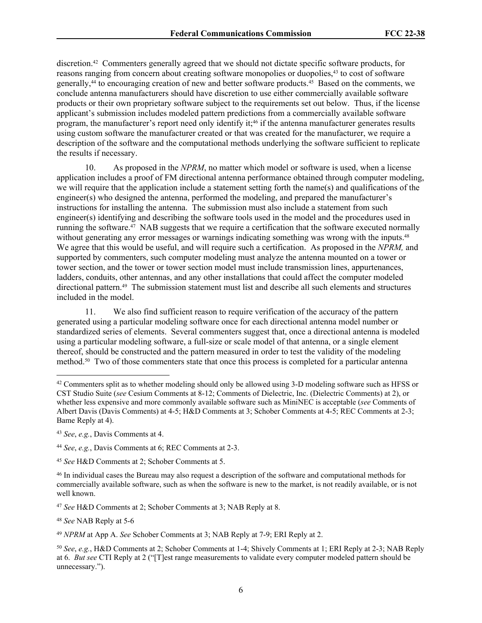discretion.42 Commenters generally agreed that we should not dictate specific software products, for reasons ranging from concern about creating software monopolies or duopolies,<sup>43</sup> to cost of software generally,44 to encouraging creation of new and better software products.45 Based on the comments, we conclude antenna manufacturers should have discretion to use either commercially available software products or their own proprietary software subject to the requirements set out below. Thus, if the license applicant's submission includes modeled pattern predictions from a commercially available software program, the manufacturer's report need only identify it;<sup>46</sup> if the antenna manufacturer generates results using custom software the manufacturer created or that was created for the manufacturer, we require a description of the software and the computational methods underlying the software sufficient to replicate the results if necessary.

10. As proposed in the *NPRM*, no matter which model or software is used, when a license application includes a proof of FM directional antenna performance obtained through computer modeling, we will require that the application include a statement setting forth the name(s) and qualifications of the engineer(s) who designed the antenna, performed the modeling, and prepared the manufacturer's instructions for installing the antenna. The submission must also include a statement from such engineer(s) identifying and describing the software tools used in the model and the procedures used in running the software.47 NAB suggests that we require a certification that the software executed normally without generating any error messages or warnings indicating something was wrong with the inputs.<sup>48</sup> We agree that this would be useful, and will require such a certification. As proposed in the *NPRM,* and supported by commenters, such computer modeling must analyze the antenna mounted on a tower or tower section, and the tower or tower section model must include transmission lines, appurtenances, ladders, conduits, other antennas, and any other installations that could affect the computer modeled directional pattern.49 The submission statement must list and describe all such elements and structures included in the model.

11. We also find sufficient reason to require verification of the accuracy of the pattern generated using a particular modeling software once for each directional antenna model number or standardized series of elements. Several commenters suggest that, once a directional antenna is modeled using a particular modeling software, a full-size or scale model of that antenna, or a single element thereof, should be constructed and the pattern measured in order to test the validity of the modeling method.50 Two of those commenters state that once this process is completed for a particular antenna

<sup>49</sup> *NPRM* at App A. *See* Schober Comments at 3; NAB Reply at 7-9; ERI Reply at 2.

<sup>42</sup> Commenters split as to whether modeling should only be allowed using 3-D modeling software such as HFSS or CST Studio Suite (*see* Cesium Comments at 8-12; Comments of Dielectric, Inc. (Dielectric Comments) at 2), or whether less expensive and more commonly available software such as MiniNEC is acceptable (*see* Comments of Albert Davis (Davis Comments) at 4-5; H&D Comments at 3; Schober Comments at 4-5; REC Comments at 2-3; Bame Reply at 4).

<sup>43</sup> *See*, *e.g.*, Davis Comments at 4.

<sup>44</sup> *See*, *e.g.*, Davis Comments at 6; REC Comments at 2-3.

<sup>45</sup> *See* H&D Comments at 2; Schober Comments at 5.

<sup>46</sup> In individual cases the Bureau may also request a description of the software and computational methods for commercially available software, such as when the software is new to the market, is not readily available, or is not well known.

<sup>47</sup> *See* H&D Comments at 2; Schober Comments at 3; NAB Reply at 8.

<sup>48</sup> *See* NAB Reply at 5-6

<sup>50</sup> *See*, *e.g.*, H&D Comments at 2; Schober Comments at 1-4; Shively Comments at 1; ERI Reply at 2-3; NAB Reply at 6. *But see* CTI Reply at 2 ("[T]est range measurements to validate every computer modeled pattern should be unnecessary.").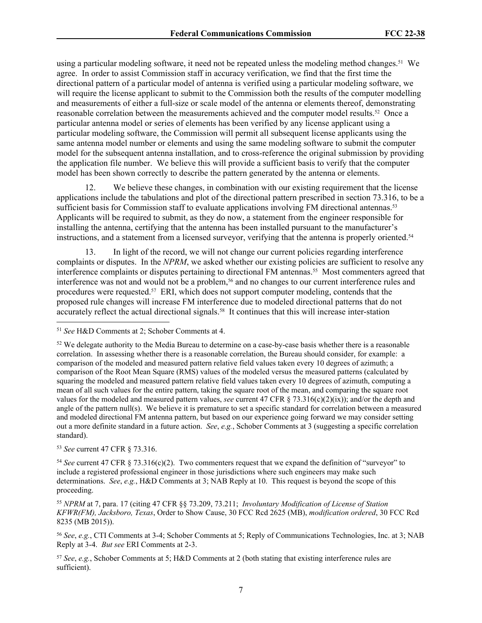using a particular modeling software, it need not be repeated unless the modeling method changes.51 We agree. In order to assist Commission staff in accuracy verification, we find that the first time the directional pattern of a particular model of antenna is verified using a particular modeling software, we will require the license applicant to submit to the Commission both the results of the computer modelling and measurements of either a full-size or scale model of the antenna or elements thereof, demonstrating reasonable correlation between the measurements achieved and the computer model results.52 Once a particular antenna model or series of elements has been verified by any license applicant using a particular modeling software, the Commission will permit all subsequent license applicants using the same antenna model number or elements and using the same modeling software to submit the computer model for the subsequent antenna installation, and to cross-reference the original submission by providing the application file number. We believe this will provide a sufficient basis to verify that the computer model has been shown correctly to describe the pattern generated by the antenna or elements.

12. We believe these changes, in combination with our existing requirement that the license applications include the tabulations and plot of the directional pattern prescribed in section 73.316, to be a sufficient basis for Commission staff to evaluate applications involving FM directional antennas.<sup>53</sup> Applicants will be required to submit, as they do now, a statement from the engineer responsible for installing the antenna, certifying that the antenna has been installed pursuant to the manufacturer's instructions, and a statement from a licensed surveyor, verifying that the antenna is properly oriented.<sup>54</sup>

13. In light of the record, we will not change our current policies regarding interference complaints or disputes. In the *NPRM*, we asked whether our existing policies are sufficient to resolve any interference complaints or disputes pertaining to directional FM antennas.55 Most commenters agreed that interference was not and would not be a problem,<sup>56</sup> and no changes to our current interference rules and procedures were requested.<sup>57</sup> ERI, which does not support computer modeling, contends that the proposed rule changes will increase FM interference due to modeled directional patterns that do not accurately reflect the actual directional signals.<sup>58</sup> It continues that this will increase inter-station

<sup>53</sup> *See* current 47 CFR § 73.316.

<sup>54</sup> *See* current 47 CFR § 73.316(c)(2). Two commenters request that we expand the definition of "surveyor" to include a registered professional engineer in those jurisdictions where such engineers may make such determinations. *See*, *e.g.*, H&D Comments at 3; NAB Reply at 10. This request is beyond the scope of this proceeding.

<sup>55</sup> *NPRM* at 7, para. 17 (citing 47 CFR §§ 73.209, 73.211; *Involuntary Modification of License of Station KFWR(FM), Jacksboro, Texas*, Order to Show Cause, 30 FCC Rcd 2625 (MB), *modification ordered*, 30 FCC Rcd 8235 (MB 2015)).

<sup>56</sup> *See*, *e.g.*, CTI Comments at 3-4; Schober Comments at 5; Reply of Communications Technologies, Inc. at 3; NAB Reply at 3-4. *But see* ERI Comments at 2-3.

<sup>57</sup> *See*, *e.g.*, Schober Comments at 5; H&D Comments at 2 (both stating that existing interference rules are sufficient).

<sup>51</sup> *See* H&D Comments at 2; Schober Comments at 4.

<sup>&</sup>lt;sup>52</sup> We delegate authority to the Media Bureau to determine on a case-by-case basis whether there is a reasonable correlation. In assessing whether there is a reasonable correlation, the Bureau should consider, for example: a comparison of the modeled and measured pattern relative field values taken every 10 degrees of azimuth; a comparison of the Root Mean Square (RMS) values of the modeled versus the measured patterns (calculated by squaring the modeled and measured pattern relative field values taken every 10 degrees of azimuth, computing a mean of all such values for the entire pattern, taking the square root of the mean, and comparing the square root values for the modeled and measured pattern values, *see* current 47 CFR § 73.316(c)(2)(ix)); and/or the depth and angle of the pattern null(s). We believe it is premature to set a specific standard for correlation between a measured and modeled directional FM antenna pattern, but based on our experience going forward we may consider setting out a more definite standard in a future action. *See*, *e.g.*, Schober Comments at 3 (suggesting a specific correlation standard).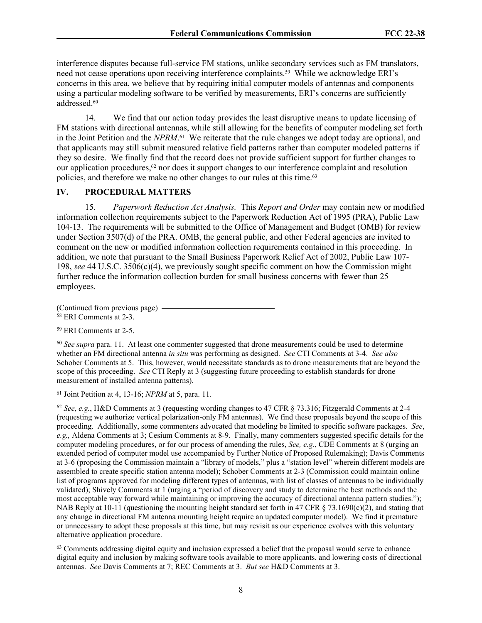interference disputes because full-service FM stations, unlike secondary services such as FM translators, need not cease operations upon receiving interference complaints.59 While we acknowledge ERI's concerns in this area, we believe that by requiring initial computer models of antennas and components using a particular modeling software to be verified by measurements, ERI's concerns are sufficiently addressed.<sup>60</sup>

14. We find that our action today provides the least disruptive means to update licensing of FM stations with directional antennas, while still allowing for the benefits of computer modeling set forth in the Joint Petition and the *NPRM*. <sup>61</sup> We reiterate that the rule changes we adopt today are optional, and that applicants may still submit measured relative field patterns rather than computer modeled patterns if they so desire. We finally find that the record does not provide sufficient support for further changes to our application procedures, $62$  nor does it support changes to our interference complaint and resolution policies, and therefore we make no other changes to our rules at this time.<sup>63</sup>

## **IV. PROCEDURAL MATTERS**

15. *Paperwork Reduction Act Analysis.* This *Report and Order* may contain new or modified information collection requirements subject to the Paperwork Reduction Act of 1995 (PRA), Public Law 104-13. The requirements will be submitted to the Office of Management and Budget (OMB) for review under Section 3507(d) of the PRA. OMB, the general public, and other Federal agencies are invited to comment on the new or modified information collection requirements contained in this proceeding. In addition, we note that pursuant to the Small Business Paperwork Relief Act of 2002, Public Law 107- 198, *see* 44 U.S.C. 3506(c)(4), we previously sought specific comment on how the Commission might further reduce the information collection burden for small business concerns with fewer than 25 employees.

(Continued from previous page)

<sup>58</sup> ERI Comments at 2-3.

<sup>59</sup> ERI Comments at 2-5.

<sup>60</sup> See supra para. 11. At least one commenter suggested that drone measurements could be used to determine whether an FM directional antenna *in situ* was performing as designed. *See* CTI Comments at 3-4. *See also* Schober Comments at 5. This, however, would necessitate standards as to drone measurements that are beyond the scope of this proceeding. *See* CTI Reply at 3 (suggesting future proceeding to establish standards for drone measurement of installed antenna patterns).

<sup>61</sup> Joint Petition at 4, 13-16; *NPRM* at 5, para. 11.

<sup>62</sup> *See*, *e.g.*, H&D Comments at 3 (requesting wording changes to 47 CFR § 73.316; Fitzgerald Comments at 2-4 (requesting we authorize vertical polarization-only FM antennas). We find these proposals beyond the scope of this proceeding. Additionally, some commenters advocated that modeling be limited to specific software packages. *See*, *e.g.,* Aldena Comments at 3; Cesium Comments at 8-9. Finally, many commenters suggested specific details for the computer modeling procedures, or for our process of amending the rules, *See, e.g.*, CDE Comments at 8 (urging an extended period of computer model use accompanied by Further Notice of Proposed Rulemaking); Davis Comments at 3-6 (proposing the Commission maintain a "library of models," plus a "station level" wherein different models are assembled to create specific station antenna model); Schober Comments at 2-3 (Commission could maintain online list of programs approved for modeling different types of antennas, with list of classes of antennas to be individually validated); Shively Comments at 1 (urging a "period of discovery and study to determine the best methods and the most acceptable way forward while maintaining or improving the accuracy of directional antenna pattern studies."); NAB Reply at 10-11 (questioning the mounting height standard set forth in 47 CFR  $\S$  73.1690(c)(2), and stating that any change in directional FM antenna mounting height require an updated computer model). We find it premature or unnecessary to adopt these proposals at this time, but may revisit as our experience evolves with this voluntary alternative application procedure.

 $63$  Comments addressing digital equity and inclusion expressed a belief that the proposal would serve to enhance digital equity and inclusion by making software tools available to more applicants, and lowering costs of directional antennas. *See* Davis Comments at 7; REC Comments at 3. *But see* H&D Comments at 3.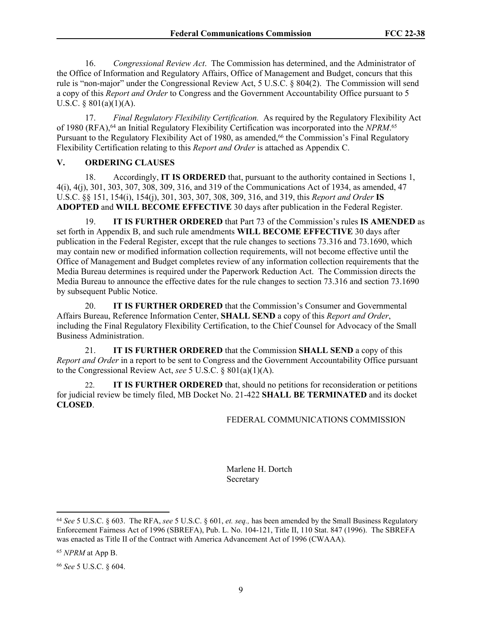16. *Congressional Review Act*. The Commission has determined, and the Administrator of the Office of Information and Regulatory Affairs, Office of Management and Budget, concurs that this rule is "non-major" under the Congressional Review Act, 5 U.S.C. § 804(2). The Commission will send a copy of this *Report and Order* to Congress and the Government Accountability Office pursuant to 5 U.S.C.  $\S$  801(a)(1)(A).

17. *Final Regulatory Flexibility Certification.* As required by the Regulatory Flexibility Act of 1980 (RFA),<sup>64</sup> an Initial Regulatory Flexibility Certification was incorporated into the *NPRM*.<sup>65</sup> Pursuant to the Regulatory Flexibility Act of 1980, as amended,<sup>66</sup> the Commission's Final Regulatory Flexibility Certification relating to this *Report and Order* is attached as Appendix C.

## **V. ORDERING CLAUSES**

18. Accordingly, **IT IS ORDERED** that, pursuant to the authority contained in Sections 1, 4(i), 4(j), 301, 303, 307, 308, 309, 316, and 319 of the Communications Act of 1934, as amended, 47 U.S.C. §§ 151, 154(i), 154(j), 301, 303, 307, 308, 309, 316, and 319, this *Report and Order* **IS ADOPTED** and **WILL BECOME EFFECTIVE** 30 days after publication in the Federal Register.

19. **IT IS FURTHER ORDERED** that Part 73 of the Commission's rules **IS AMENDED** as set forth in Appendix B, and such rule amendments **WILL BECOME EFFECTIVE** 30 days after publication in the Federal Register, except that the rule changes to sections 73.316 and 73.1690, which may contain new or modified information collection requirements, will not become effective until the Office of Management and Budget completes review of any information collection requirements that the Media Bureau determines is required under the Paperwork Reduction Act. The Commission directs the Media Bureau to announce the effective dates for the rule changes to section 73.316 and section 73.1690 by subsequent Public Notice.

20. **IT IS FURTHER ORDERED** that the Commission's Consumer and Governmental Affairs Bureau, Reference Information Center, **SHALL SEND** a copy of this *Report and Order*, including the Final Regulatory Flexibility Certification, to the Chief Counsel for Advocacy of the Small Business Administration.

21. **IT IS FURTHER ORDERED** that the Commission **SHALL SEND** a copy of this *Report and Order* in a report to be sent to Congress and the Government Accountability Office pursuant to the Congressional Review Act, *see* 5 U.S.C. § 801(a)(1)(A).

22. **IT IS FURTHER ORDERED** that, should no petitions for reconsideration or petitions for judicial review be timely filed, MB Docket No. 21-422 **SHALL BE TERMINATED** and its docket **CLOSED**.

## FEDERAL COMMUNICATIONS COMMISSION

Marlene H. Dortch **Secretary** 

<sup>66</sup> *See* 5 U.S.C. § 604.

<sup>64</sup> *See* 5 U.S.C. § 603. The RFA, *see* 5 U.S.C. § 601, *et. seq.,* has been amended by the Small Business Regulatory Enforcement Fairness Act of 1996 (SBREFA), Pub. L. No. 104-121, Title II, 110 Stat. 847 (1996). The SBREFA was enacted as Title II of the Contract with America Advancement Act of 1996 (CWAAA).

<sup>65</sup> *NPRM* at App B.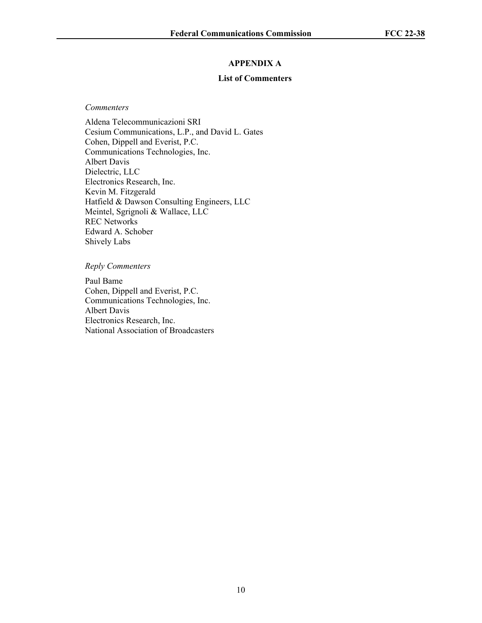## **APPENDIX A**

## **List of Commenters**

#### *Commenters*

Aldena Telecommunicazioni SRI Cesium Communications, L.P., and David L. Gates Cohen, Dippell and Everist, P.C. Communications Technologies, Inc. Albert Davis Dielectric, LLC Electronics Research, Inc. Kevin M. Fitzgerald Hatfield & Dawson Consulting Engineers, LLC Meintel, Sgrignoli & Wallace, LLC REC Networks Edward A. Schober Shively Labs

## *Reply Commenters*

Paul Bame Cohen, Dippell and Everist, P.C. Communications Technologies, Inc. Albert Davis Electronics Research, Inc. National Association of Broadcasters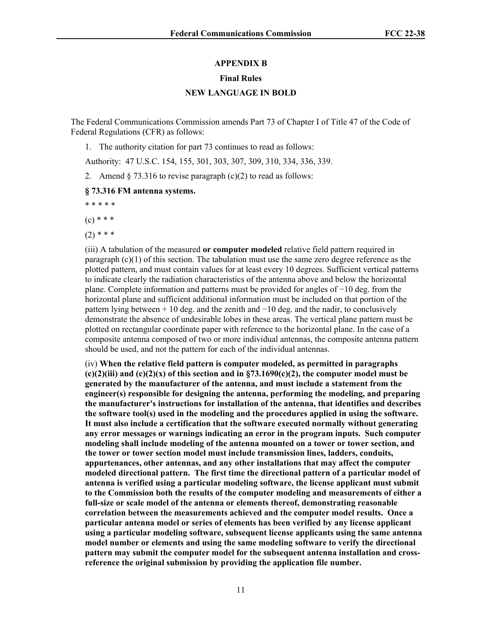### **APPENDIX B**

#### **Final Rules**

## **NEW LANGUAGE IN BOLD**

The Federal Communications Commission amends Part 73 of Chapter I of Title 47 of the Code of Federal Regulations (CFR) as follows:

1. The authority citation for part 73 continues to read as follows:

Authority: 47 U.S.C. 154, 155, 301, 303, 307, 309, 310, 334, 336, 339.

2. Amend  $\S$  73.316 to revise paragraph (c)(2) to read as follows:

#### **§ 73.316 FM antenna systems.**

\* \* \* \* \*

 $(c) * * *$ 

 $(2)$  \* \* \*

(iii) A tabulation of the measured **or computer modeled** relative field pattern required in paragraph  $(c)(1)$  of this section. The tabulation must use the same zero degree reference as the plotted pattern, and must contain values for at least every 10 degrees. Sufficient vertical patterns to indicate clearly the radiation characteristics of the antenna above and below the horizontal plane. Complete information and patterns must be provided for angles of −10 deg. from the horizontal plane and sufficient additional information must be included on that portion of the pattern lying between + 10 deg. and the zenith and −10 deg. and the nadir, to conclusively demonstrate the absence of undesirable lobes in these areas. The vertical plane pattern must be plotted on rectangular coordinate paper with reference to the horizontal plane. In the case of a composite antenna composed of two or more individual antennas, the composite antenna pattern should be used, and not the pattern for each of the individual antennas.

(iv) **When the relative field pattern is computer modeled, as permitted in paragraphs (c)(2)(iii) and (c)(2)(x) of this section and in §73.1690(c)(2), the computer model must be generated by the manufacturer of the antenna, and must include a statement from the engineer(s) responsible for designing the antenna, performing the modeling, and preparing the manufacturer's instructions for installation of the antenna, that identifies and describes the software tool(s) used in the modeling and the procedures applied in using the software. It must also include a certification that the software executed normally without generating any error messages or warnings indicating an error in the program inputs. Such computer modeling shall include modeling of the antenna mounted on a tower or tower section, and the tower or tower section model must include transmission lines, ladders, conduits, appurtenances, other antennas, and any other installations that may affect the computer modeled directional pattern. The first time the directional pattern of a particular model of antenna is verified using a particular modeling software, the license applicant must submit to the Commission both the results of the computer modeling and measurements of either a full-size or scale model of the antenna or elements thereof, demonstrating reasonable correlation between the measurements achieved and the computer model results. Once a particular antenna model or series of elements has been verified by any license applicant using a particular modeling software, subsequent license applicants using the same antenna model number or elements and using the same modeling software to verify the directional pattern may submit the computer model for the subsequent antenna installation and crossreference the original submission by providing the application file number.**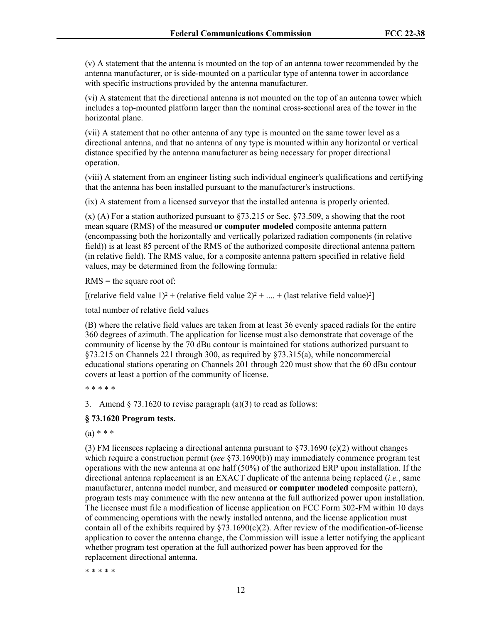(v) A statement that the antenna is mounted on the top of an antenna tower recommended by the antenna manufacturer, or is side-mounted on a particular type of antenna tower in accordance with specific instructions provided by the antenna manufacturer.

(vi) A statement that the directional antenna is not mounted on the top of an antenna tower which includes a top-mounted platform larger than the nominal cross-sectional area of the tower in the horizontal plane.

(vii) A statement that no other antenna of any type is mounted on the same tower level as a directional antenna, and that no antenna of any type is mounted within any horizontal or vertical distance specified by the antenna manufacturer as being necessary for proper directional operation.

(viii) A statement from an engineer listing such individual engineer's qualifications and certifying that the antenna has been installed pursuant to the manufacturer's instructions.

(ix) A statement from a licensed surveyor that the installed antenna is properly oriented.

(x) (A) For a station authorized pursuant to §73.215 or Sec. §73.509, a showing that the root mean square (RMS) of the measured **or computer modeled** composite antenna pattern (encompassing both the horizontally and vertically polarized radiation components (in relative field)) is at least 85 percent of the RMS of the authorized composite directional antenna pattern (in relative field). The RMS value, for a composite antenna pattern specified in relative field values, may be determined from the following formula:

 $RMS =$  the square root of:

[(relative field value 1)<sup>2</sup> + (relative field value 2)<sup>2</sup> + ... + (last relative field value)<sup>2</sup>]

total number of relative field values

(B) where the relative field values are taken from at least 36 evenly spaced radials for the entire 360 degrees of azimuth. The application for license must also demonstrate that coverage of the community of license by the 70 dBu contour is maintained for stations authorized pursuant to §73.215 on Channels 221 through 300, as required by §73.315(a), while noncommercial educational stations operating on Channels 201 through 220 must show that the 60 dBu contour covers at least a portion of the community of license.

\* \* \* \* \*

3. Amend  $\S$  73.1620 to revise paragraph (a)(3) to read as follows:

#### **§ 73.1620 Program tests.**

 $(a) * * *$ 

(3) FM licensees replacing a directional antenna pursuant to  $\S73.1690$  (c)(2) without changes which require a construction permit (*see* §73.1690(b)) may immediately commence program test operations with the new antenna at one half (50%) of the authorized ERP upon installation. If the directional antenna replacement is an EXACT duplicate of the antenna being replaced (*i.e.*, same manufacturer, antenna model number, and measured **or computer modeled** composite pattern), program tests may commence with the new antenna at the full authorized power upon installation. The licensee must file a modification of license application on FCC Form 302-FM within 10 days of commencing operations with the newly installed antenna, and the license application must contain all of the exhibits required by  $\S73.1690(c)(2)$ . After review of the modification-of-license application to cover the antenna change, the Commission will issue a letter notifying the applicant whether program test operation at the full authorized power has been approved for the replacement directional antenna.

\* \* \* \* \*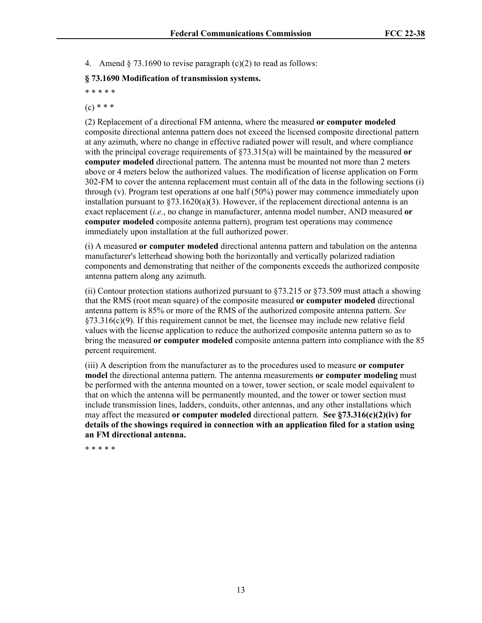4. Amend  $\S$  73.1690 to revise paragraph (c)(2) to read as follows:

## **§ 73.1690 Modification of transmission systems.**

\* \* \* \* \*

 $(c) * * *$ 

(2) Replacement of a directional FM antenna, where the measured **or computer modeled** composite directional antenna pattern does not exceed the licensed composite directional pattern at any azimuth, where no change in effective radiated power will result, and where compliance with the principal coverage requirements of §73.315(a) will be maintained by the measured **or computer modeled** directional pattern. The antenna must be mounted not more than 2 meters above or 4 meters below the authorized values. The modification of license application on Form 302-FM to cover the antenna replacement must contain all of the data in the following sections (i) through (v). Program test operations at one half (50%) power may commence immediately upon installation pursuant to  $\S 73.1620(a)(3)$ . However, if the replacement directional antenna is an exact replacement (*i.e.*, no change in manufacturer, antenna model number, AND measured **or computer modeled** composite antenna pattern), program test operations may commence immediately upon installation at the full authorized power.

(i) A measured **or computer modeled** directional antenna pattern and tabulation on the antenna manufacturer's letterhead showing both the horizontally and vertically polarized radiation components and demonstrating that neither of the components exceeds the authorized composite antenna pattern along any azimuth.

(ii) Contour protection stations authorized pursuant to  $\S$ 73.215 or  $\S$ 73.509 must attach a showing that the RMS (root mean square) of the composite measured **or computer modeled** directional antenna pattern is 85% or more of the RMS of the authorized composite antenna pattern. *See* §73.316(c)(9). If this requirement cannot be met, the licensee may include new relative field values with the license application to reduce the authorized composite antenna pattern so as to bring the measured **or computer modeled** composite antenna pattern into compliance with the 85 percent requirement.

(iii) A description from the manufacturer as to the procedures used to measure **or computer model** the directional antenna pattern. The antenna measurements **or computer modeling** must be performed with the antenna mounted on a tower, tower section, or scale model equivalent to that on which the antenna will be permanently mounted, and the tower or tower section must include transmission lines, ladders, conduits, other antennas, and any other installations which may affect the measured **or computer modeled** directional pattern. **See §73.316(c)(2)(iv) for details of the showings required in connection with an application filed for a station using an FM directional antenna.**

\* \* \* \* \*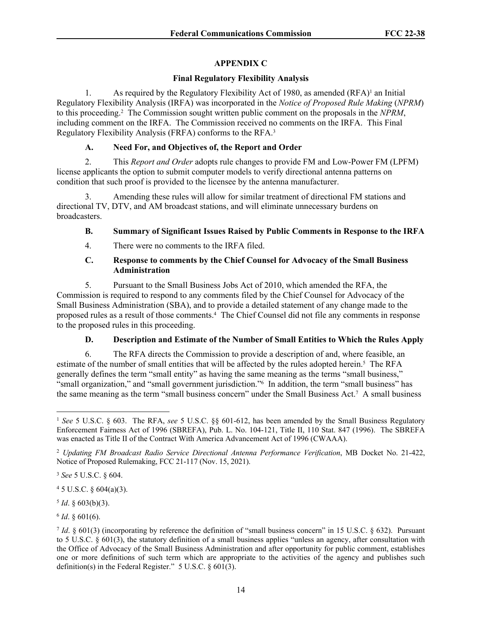# **APPENDIX C**

## **Final Regulatory Flexibility Analysis**

1. As required by the Regulatory Flexibility Act of 1980, as amended (RFA)<sup>1</sup> an Initial Regulatory Flexibility Analysis (IRFA) was incorporated in the *Notice of Proposed Rule Making* (*NPRM*) to this proceeding.<sup>2</sup> The Commission sought written public comment on the proposals in the *NPRM*, including comment on the IRFA. The Commission received no comments on the IRFA. This Final Regulatory Flexibility Analysis (FRFA) conforms to the RFA.<sup>3</sup>

## **A. Need For, and Objectives of, the Report and Order**

2. This *Report and Order* adopts rule changes to provide FM and Low-Power FM (LPFM) license applicants the option to submit computer models to verify directional antenna patterns on condition that such proof is provided to the licensee by the antenna manufacturer.

3. Amending these rules will allow for similar treatment of directional FM stations and directional TV, DTV, and AM broadcast stations, and will eliminate unnecessary burdens on broadcasters.

## **B. Summary of Significant Issues Raised by Public Comments in Response to the IRFA**

4. There were no comments to the IRFA filed.

## **C. Response to comments by the Chief Counsel for Advocacy of the Small Business Administration**

5. Pursuant to the Small Business Jobs Act of 2010, which amended the RFA, the Commission is required to respond to any comments filed by the Chief Counsel for Advocacy of the Small Business Administration (SBA), and to provide a detailed statement of any change made to the proposed rules as a result of those comments.<sup>4</sup> The Chief Counsel did not file any comments in response to the proposed rules in this proceeding.

# **D. Description and Estimate of the Number of Small Entities to Which the Rules Apply**

6. The RFA directs the Commission to provide a description of and, where feasible, an estimate of the number of small entities that will be affected by the rules adopted herein.<sup>5</sup> The RFA generally defines the term "small entity" as having the same meaning as the terms "small business," "small organization," and "small government jurisdiction."<sup>6</sup> In addition, the term "small business" has the same meaning as the term "small business concern" under the Small Business Act.<sup>7</sup> A small business

 $45$  U.S.C. § 604(a)(3).

 $5$  *Id.* § 603(b)(3).

 $6$  *Id*. § 601(6).

<sup>1</sup> *See* 5 U.S.C. § 603. The RFA, *see* 5 U.S.C. §§ 601-612, has been amended by the Small Business Regulatory Enforcement Fairness Act of 1996 (SBREFA), Pub. L. No. 104-121, Title II, 110 Stat. 847 (1996). The SBREFA was enacted as Title II of the Contract With America Advancement Act of 1996 (CWAAA).

<sup>2</sup> *Updating FM Broadcast Radio Service Directional Antenna Performance Verification*, MB Docket No. 21-422, Notice of Proposed Rulemaking, FCC 21-117 (Nov. 15, 2021).

<sup>3</sup> *See* 5 U.S.C. § 604.

*Id.* § 601(3) (incorporating by reference the definition of "small business concern" in 15 U.S.C. § 632). Pursuant to 5 U.S.C. § 601(3), the statutory definition of a small business applies "unless an agency, after consultation with the Office of Advocacy of the Small Business Administration and after opportunity for public comment, establishes one or more definitions of such term which are appropriate to the activities of the agency and publishes such definition(s) in the Federal Register." 5 U.S.C. § 601(3).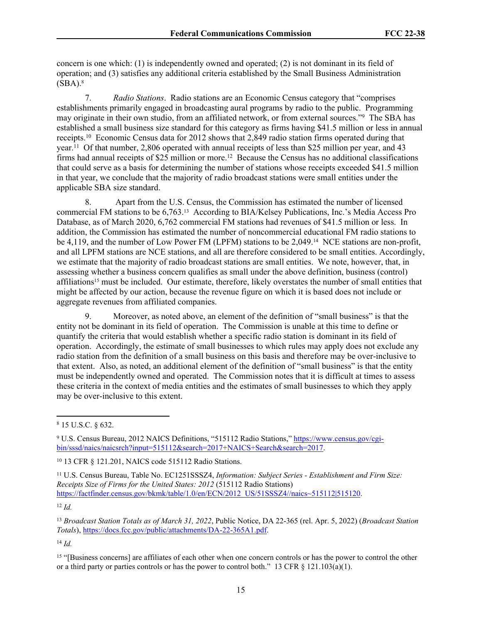concern is one which: (1) is independently owned and operated; (2) is not dominant in its field of operation; and (3) satisfies any additional criteria established by the Small Business Administration  $(SBA).$ <sup>8</sup>

7. *Radio Stations*. Radio stations are an Economic Census category that "comprises establishments primarily engaged in broadcasting aural programs by radio to the public. Programming may originate in their own studio, from an affiliated network, or from external sources."<sup>9</sup> The SBA has established a small business size standard for this category as firms having \$41.5 million or less in annual receipts.<sup>10</sup> Economic Census data for 2012 shows that 2,849 radio station firms operated during that year.<sup>11</sup> Of that number, 2,806 operated with annual receipts of less than \$25 million per year, and 43 firms had annual receipts of  $$25$  million or more.<sup>12</sup> Because the Census has no additional classifications that could serve as a basis for determining the number of stations whose receipts exceeded \$41.5 million in that year, we conclude that the majority of radio broadcast stations were small entities under the applicable SBA size standard.

8. Apart from the U.S. Census, the Commission has estimated the number of licensed commercial FM stations to be 6,763.13 According to BIA/Kelsey Publications, Inc.'s Media Access Pro Database, as of March 2020, 6,762 commercial FM stations had revenues of \$41.5 million or less. In addition, the Commission has estimated the number of noncommercial educational FM radio stations to be 4,119, and the number of Low Power FM (LPFM) stations to be 2,049.<sup>14</sup> NCE stations are non-profit, and all LPFM stations are NCE stations, and all are therefore considered to be small entities. Accordingly, we estimate that the majority of radio broadcast stations are small entities. We note, however, that, in assessing whether a business concern qualifies as small under the above definition, business (control) affiliations15 must be included. Our estimate, therefore, likely overstates the number of small entities that might be affected by our action, because the revenue figure on which it is based does not include or aggregate revenues from affiliated companies.

9. Moreover, as noted above, an element of the definition of "small business" is that the entity not be dominant in its field of operation. The Commission is unable at this time to define or quantify the criteria that would establish whether a specific radio station is dominant in its field of operation. Accordingly, the estimate of small businesses to which rules may apply does not exclude any radio station from the definition of a small business on this basis and therefore may be over-inclusive to that extent. Also, as noted, an additional element of the definition of "small business" is that the entity must be independently owned and operated. The Commission notes that it is difficult at times to assess these criteria in the context of media entities and the estimates of small businesses to which they apply may be over-inclusive to this extent.

<sup>12</sup> *Id.*

<sup>13</sup> *Broadcast Station Totals as of March 31, 2022*, Public Notice, DA 22-365 (rel. Apr. 5, 2022) (*Broadcast Station Totals*), [https://docs.fcc.gov/public/attachments/DA-22-365A1.pdf.](https://docs.fcc.gov/public/attachments/DA-22-365A1.pdf)

<sup>14</sup> *Id.*

<sup>8</sup> 15 U.S.C. § 632.

<sup>&</sup>lt;sup>9</sup> U.S. Census Bureau, 2012 NAICS Definitions, "515112 Radio Stations," [https://www.census.gov/cgi](https://www.census.gov/cgi-bin/sssd/naics/naicsrch?input=515112&search=2017+NAICS+Search&search=2017)[bin/sssd/naics/naicsrch?input=515112&search=2017+NAICS+Search&search=2017.](https://www.census.gov/cgi-bin/sssd/naics/naicsrch?input=515112&search=2017+NAICS+Search&search=2017)

<sup>10</sup> 13 CFR § 121.201, NAICS code 515112 Radio Stations.

<sup>11</sup> U.S. Census Bureau, Table No. EC1251SSSZ4, *Information: Subject Series - Establishment and Firm Size: Receipts Size of Firms for the United States: 2012* (515112 Radio Stations) [https://factfinder.census.gov/bkmk/table/1.0/en/ECN/2012\\_US/51SSSZ4//naics~515112|515120](https://factfinder.census.gov/bkmk/table/1.0/en/ECN/2012_US/51SSSZ4//naics~515112|515120).

<sup>&</sup>lt;sup>15</sup> "[Business concerns] are affiliates of each other when one concern controls or has the power to control the other or a third party or parties controls or has the power to control both." 13 CFR  $\S$  121.103(a)(1).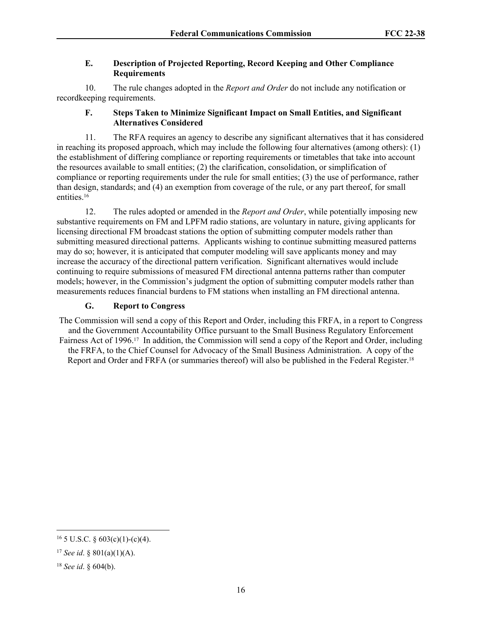## **E. Description of Projected Reporting, Record Keeping and Other Compliance Requirements**

10. The rule changes adopted in the *Report and Order* do not include any notification or recordkeeping requirements.

## **F. Steps Taken to Minimize Significant Impact on Small Entities, and Significant Alternatives Considered**

11. The RFA requires an agency to describe any significant alternatives that it has considered in reaching its proposed approach, which may include the following four alternatives (among others): (1) the establishment of differing compliance or reporting requirements or timetables that take into account the resources available to small entities; (2) the clarification, consolidation, or simplification of compliance or reporting requirements under the rule for small entities; (3) the use of performance, rather than design, standards; and (4) an exemption from coverage of the rule, or any part thereof, for small entities.<sup>16</sup>

12. The rules adopted or amended in the *Report and Order*, while potentially imposing new substantive requirements on FM and LPFM radio stations, are voluntary in nature, giving applicants for licensing directional FM broadcast stations the option of submitting computer models rather than submitting measured directional patterns. Applicants wishing to continue submitting measured patterns may do so; however, it is anticipated that computer modeling will save applicants money and may increase the accuracy of the directional pattern verification. Significant alternatives would include continuing to require submissions of measured FM directional antenna patterns rather than computer models; however, in the Commission's judgment the option of submitting computer models rather than measurements reduces financial burdens to FM stations when installing an FM directional antenna.

# **G. Report to Congress**

The Commission will send a copy of this Report and Order, including this FRFA, in a report to Congress and the Government Accountability Office pursuant to the Small Business Regulatory Enforcement Fairness Act of 1996.17 In addition, the Commission will send a copy of the Report and Order, including the FRFA, to the Chief Counsel for Advocacy of the Small Business Administration. A copy of the Report and Order and FRFA (or summaries thereof) will also be published in the Federal Register.<sup>18</sup>

 $16$  5 U.S.C. § 603(c)(1)-(c)(4).

<sup>17</sup> *See id*. § 801(a)(1)(A).

<sup>18</sup> *See id*. § 604(b).